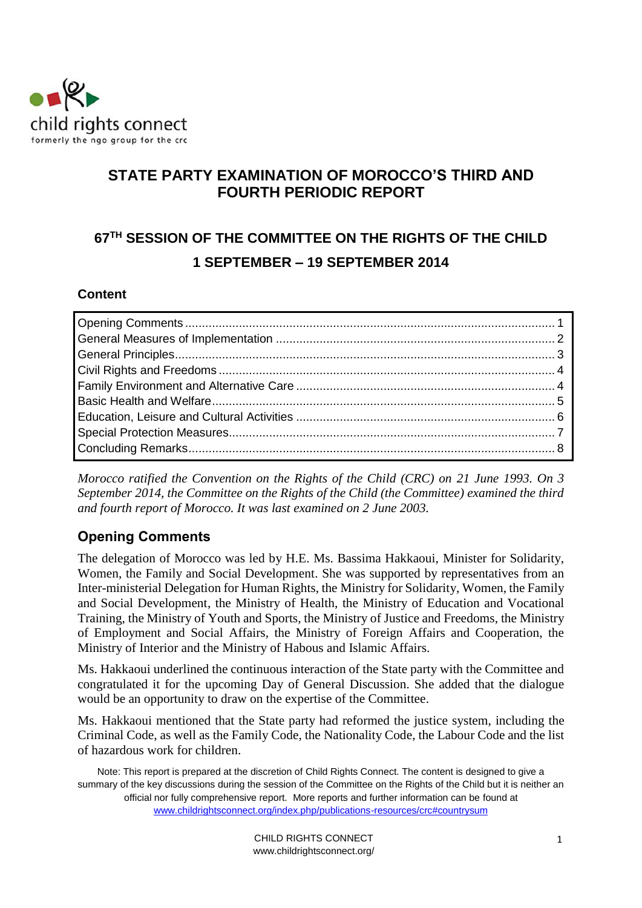

## **STATE PARTY EXAMINATION OF MOROCCO'S THIRD AND FOURTH PERIODIC REPORT**

# **67 TH SESSION OF THE COMMITTEE ON THE RIGHTS OF THE CHILD 1 SEPTEMBER – 19 SEPTEMBER 2014**

#### **Content**

*Morocco ratified the Convention on the Rights of the Child (CRC) on 21 June 1993. On 3 September 2014, the Committee on the Rights of the Child (the Committee) examined the third and fourth report of Morocco. It was last examined on 2 June 2003.* 

## <span id="page-0-0"></span>**Opening Comments**

The delegation of Morocco was led by H.E. Ms. Bassima Hakkaoui, Minister for Solidarity, Women, the Family and Social Development. She was supported by representatives from an Inter-ministerial Delegation for Human Rights, the Ministry for Solidarity, Women, the Family and Social Development, the Ministry of Health, the Ministry of Education and Vocational Training, the Ministry of Youth and Sports, the Ministry of Justice and Freedoms, the Ministry of Employment and Social Affairs, the Ministry of Foreign Affairs and Cooperation, the Ministry of Interior and the Ministry of Habous and Islamic Affairs.

Ms. Hakkaoui underlined the continuous interaction of the State party with the Committee and congratulated it for the upcoming Day of General Discussion. She added that the dialogue would be an opportunity to draw on the expertise of the Committee.

Ms. Hakkaoui mentioned that the State party had reformed the justice system, including the Criminal Code, as well as the Family Code, the Nationality Code, the Labour Code and the list of hazardous work for children.

Note: This report is prepared at the discretion of Child Rights Connect. The content is designed to give a summary of the key discussions during the session of the Committee on the Rights of the Child but it is neither an official nor fully comprehensive report. More reports and further information can be found at [www.childrightsconnect.org/index.php/publications-resources/crc#countrysum](http://www.childrightsconnect.org/index.php/publications-resources/crc#countrysum)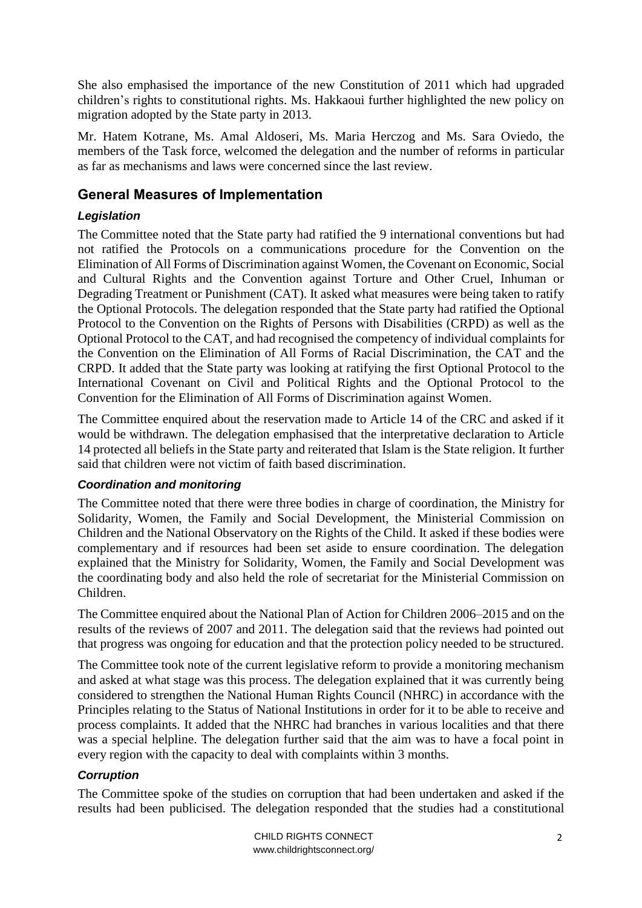She also emphasised the importance of the new Constitution of 2011 which had upgraded children's rights to constitutional rights. Ms. Hakkaoui further highlighted the new policy on migration adopted by the State party in 2013.

Mr. Hatem Kotrane, Ms. Amal Aldoseri, Ms. Maria Herczog and Ms. Sara Oviedo, the members of the Task force, welcomed the delegation and the number of reforms in particular as far as mechanisms and laws were concerned since the last review.

### <span id="page-1-0"></span>**General Measures of Implementation**

#### *Legislation*

The Committee noted that the State party had ratified the 9 international conventions but had not ratified the Protocols on a communications procedure for the Convention on the Elimination of All Forms of Discrimination against Women, the Covenant on Economic, Social and Cultural Rights and the Convention against Torture and Other Cruel, Inhuman or Degrading Treatment or Punishment (CAT). It asked what measures were being taken to ratify the Optional Protocols. The delegation responded that the State party had ratified the Optional Protocol to the Convention on the Rights of Persons with Disabilities (CRPD) as well as the Optional Protocol to the CAT, and had recognised the competency of individual complaints for the Convention on the Elimination of All Forms of Racial Discrimination, the CAT and the CRPD. It added that the State party was looking at ratifying the first Optional Protocol to the International Covenant on Civil and Political Rights and the Optional Protocol to the Convention for the Elimination of All Forms of Discrimination against Women.

The Committee enquired about the reservation made to Article 14 of the CRC and asked if it would be withdrawn. The delegation emphasised that the interpretative declaration to Article 14 protected all beliefs in the State party and reiterated that Islam is the State religion. It further said that children were not victim of faith based discrimination.

#### *Coordination and monitoring*

The Committee noted that there were three bodies in charge of coordination, the Ministry for Solidarity, Women, the Family and Social Development, the Ministerial Commission on Children and the National Observatory on the Rights of the Child. It asked if these bodies were complementary and if resources had been set aside to ensure coordination. The delegation explained that the Ministry for Solidarity, Women, the Family and Social Development was the coordinating body and also held the role of secretariat for the Ministerial Commission on Children.

The Committee enquired about the National Plan of Action for Children 2006–2015 and on the results of the reviews of 2007 and 2011. The delegation said that the reviews had pointed out that progress was ongoing for education and that the protection policy needed to be structured.

The Committee took note of the current legislative reform to provide a monitoring mechanism and asked at what stage was this process. The delegation explained that it was currently being considered to strengthen the National Human Rights Council (NHRC) in accordance with the Principles relating to the Status of National Institutions in order for it to be able to receive and process complaints. It added that the NHRC had branches in various localities and that there was a special helpline. The delegation further said that the aim was to have a focal point in every region with the capacity to deal with complaints within 3 months.

#### *Corruption*

The Committee spoke of the studies on corruption that had been undertaken and asked if the results had been publicised. The delegation responded that the studies had a constitutional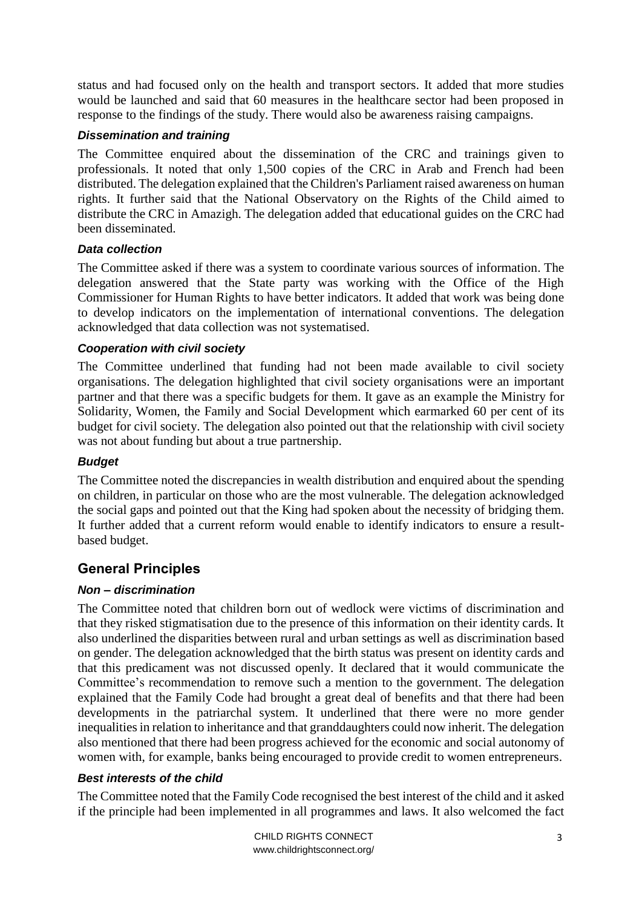status and had focused only on the health and transport sectors. It added that more studies would be launched and said that 60 measures in the healthcare sector had been proposed in response to the findings of the study. There would also be awareness raising campaigns.

#### *Dissemination and training*

The Committee enquired about the dissemination of the CRC and trainings given to professionals. It noted that only 1,500 copies of the CRC in Arab and French had been distributed. The delegation explained that the Children's Parliament raised awareness on human rights. It further said that the National Observatory on the Rights of the Child aimed to distribute the CRC in Amazigh. The delegation added that educational guides on the CRC had been disseminated.

#### *Data collection*

The Committee asked if there was a system to coordinate various sources of information. The delegation answered that the State party was working with the Office of the High Commissioner for Human Rights to have better indicators. It added that work was being done to develop indicators on the implementation of international conventions. The delegation acknowledged that data collection was not systematised.

#### *Cooperation with civil society*

The Committee underlined that funding had not been made available to civil society organisations. The delegation highlighted that civil society organisations were an important partner and that there was a specific budgets for them. It gave as an example the Ministry for Solidarity, Women, the Family and Social Development which earmarked 60 per cent of its budget for civil society. The delegation also pointed out that the relationship with civil society was not about funding but about a true partnership.

#### *Budget*

The Committee noted the discrepancies in wealth distribution and enquired about the spending on children, in particular on those who are the most vulnerable. The delegation acknowledged the social gaps and pointed out that the King had spoken about the necessity of bridging them. It further added that a current reform would enable to identify indicators to ensure a resultbased budget.

### <span id="page-2-0"></span>**General Principles**

#### *Non – discrimination*

The Committee noted that children born out of wedlock were victims of discrimination and that they risked stigmatisation due to the presence of this information on their identity cards. It also underlined the disparities between rural and urban settings as well as discrimination based on gender. The delegation acknowledged that the birth status was present on identity cards and that this predicament was not discussed openly. It declared that it would communicate the Committee's recommendation to remove such a mention to the government. The delegation explained that the Family Code had brought a great deal of benefits and that there had been developments in the patriarchal system. It underlined that there were no more gender inequalities in relation to inheritance and that granddaughters could now inherit. The delegation also mentioned that there had been progress achieved for the economic and social autonomy of women with, for example, banks being encouraged to provide credit to women entrepreneurs.

#### *Best interests of the child*

The Committee noted that the Family Code recognised the best interest of the child and it asked if the principle had been implemented in all programmes and laws. It also welcomed the fact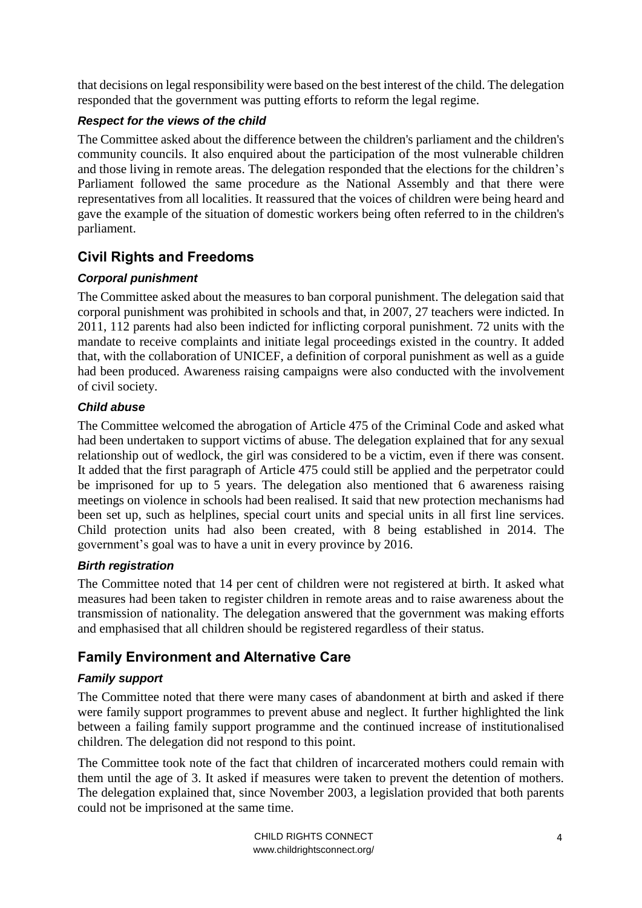that decisions on legal responsibility were based on the best interest of the child. The delegation responded that the government was putting efforts to reform the legal regime.

#### *Respect for the views of the child*

The Committee asked about the difference between the children's parliament and the children's community councils. It also enquired about the participation of the most vulnerable children and those living in remote areas. The delegation responded that the elections for the children's Parliament followed the same procedure as the National Assembly and that there were representatives from all localities. It reassured that the voices of children were being heard and gave the example of the situation of domestic workers being often referred to in the children's parliament.

## <span id="page-3-0"></span>**Civil Rights and Freedoms**

#### *Corporal punishment*

The Committee asked about the measures to ban corporal punishment. The delegation said that corporal punishment was prohibited in schools and that, in 2007, 27 teachers were indicted. In 2011, 112 parents had also been indicted for inflicting corporal punishment. 72 units with the mandate to receive complaints and initiate legal proceedings existed in the country. It added that, with the collaboration of UNICEF, a definition of corporal punishment as well as a guide had been produced. Awareness raising campaigns were also conducted with the involvement of civil society.

#### *Child abuse*

The Committee welcomed the abrogation of Article 475 of the Criminal Code and asked what had been undertaken to support victims of abuse. The delegation explained that for any sexual relationship out of wedlock, the girl was considered to be a victim, even if there was consent. It added that the first paragraph of Article 475 could still be applied and the perpetrator could be imprisoned for up to 5 years. The delegation also mentioned that 6 awareness raising meetings on violence in schools had been realised. It said that new protection mechanisms had been set up, such as helplines, special court units and special units in all first line services. Child protection units had also been created, with 8 being established in 2014. The government's goal was to have a unit in every province by 2016.

#### *Birth registration*

The Committee noted that 14 per cent of children were not registered at birth. It asked what measures had been taken to register children in remote areas and to raise awareness about the transmission of nationality. The delegation answered that the government was making efforts and emphasised that all children should be registered regardless of their status.

## <span id="page-3-1"></span>**Family Environment and Alternative Care**

#### *Family support*

The Committee noted that there were many cases of abandonment at birth and asked if there were family support programmes to prevent abuse and neglect. It further highlighted the link between a failing family support programme and the continued increase of institutionalised children. The delegation did not respond to this point.

The Committee took note of the fact that children of incarcerated mothers could remain with them until the age of 3. It asked if measures were taken to prevent the detention of mothers. The delegation explained that, since November 2003, a legislation provided that both parents could not be imprisoned at the same time.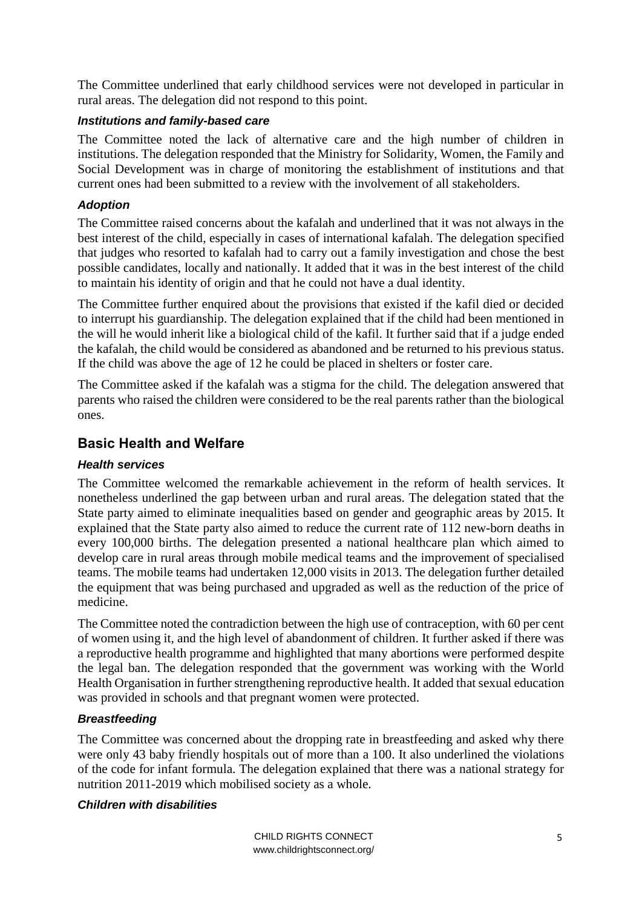The Committee underlined that early childhood services were not developed in particular in rural areas. The delegation did not respond to this point.

#### *Institutions and family-based care*

The Committee noted the lack of alternative care and the high number of children in institutions. The delegation responded that the Ministry for Solidarity, Women, the Family and Social Development was in charge of monitoring the establishment of institutions and that current ones had been submitted to a review with the involvement of all stakeholders.

#### *Adoption*

The Committee raised concerns about the kafalah and underlined that it was not always in the best interest of the child, especially in cases of international kafalah. The delegation specified that judges who resorted to kafalah had to carry out a family investigation and chose the best possible candidates, locally and nationally. It added that it was in the best interest of the child to maintain his identity of origin and that he could not have a dual identity.

The Committee further enquired about the provisions that existed if the kafil died or decided to interrupt his guardianship. The delegation explained that if the child had been mentioned in the will he would inherit like a biological child of the kafil. It further said that if a judge ended the kafalah, the child would be considered as abandoned and be returned to his previous status. If the child was above the age of 12 he could be placed in shelters or foster care.

The Committee asked if the kafalah was a stigma for the child. The delegation answered that parents who raised the children were considered to be the real parents rather than the biological ones.

## <span id="page-4-0"></span>**Basic Health and Welfare**

#### *Health services*

The Committee welcomed the remarkable achievement in the reform of health services. It nonetheless underlined the gap between urban and rural areas. The delegation stated that the State party aimed to eliminate inequalities based on gender and geographic areas by 2015. It explained that the State party also aimed to reduce the current rate of 112 new-born deaths in every 100,000 births. The delegation presented a national healthcare plan which aimed to develop care in rural areas through mobile medical teams and the improvement of specialised teams. The mobile teams had undertaken 12,000 visits in 2013. The delegation further detailed the equipment that was being purchased and upgraded as well as the reduction of the price of medicine.

The Committee noted the contradiction between the high use of contraception, with 60 per cent of women using it, and the high level of abandonment of children. It further asked if there was a reproductive health programme and highlighted that many abortions were performed despite the legal ban. The delegation responded that the government was working with the World Health Organisation in further strengthening reproductive health. It added that sexual education was provided in schools and that pregnant women were protected.

#### *Breastfeeding*

The Committee was concerned about the dropping rate in breastfeeding and asked why there were only 43 baby friendly hospitals out of more than a 100. It also underlined the violations of the code for infant formula. The delegation explained that there was a national strategy for nutrition 2011-2019 which mobilised society as a whole.

#### *Children with disabilities*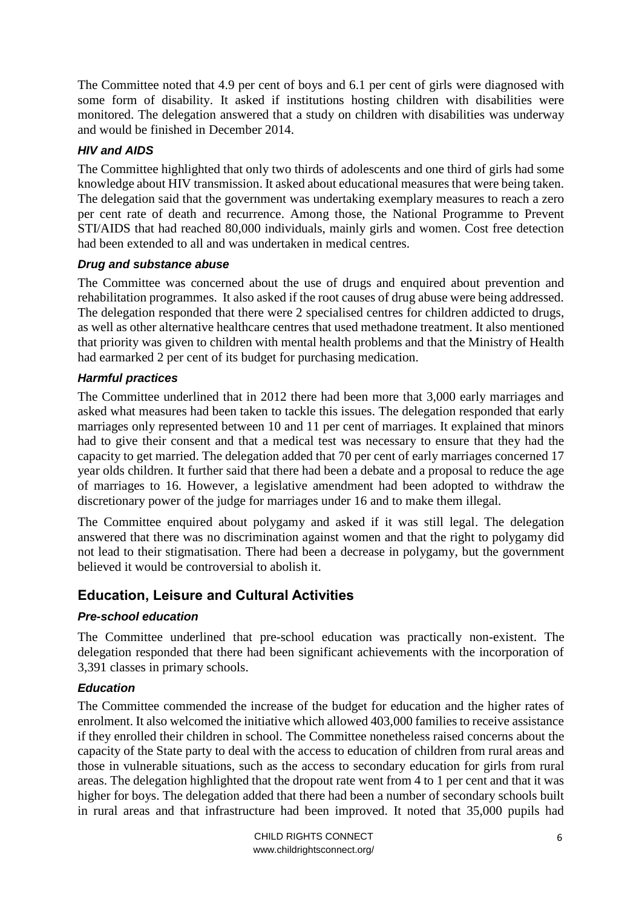The Committee noted that 4.9 per cent of boys and 6.1 per cent of girls were diagnosed with some form of disability. It asked if institutions hosting children with disabilities were monitored. The delegation answered that a study on children with disabilities was underway and would be finished in December 2014.

#### *HIV and AIDS*

The Committee highlighted that only two thirds of adolescents and one third of girls had some knowledge about HIV transmission. It asked about educational measures that were being taken. The delegation said that the government was undertaking exemplary measures to reach a zero per cent rate of death and recurrence. Among those, the National Programme to Prevent STI/AIDS that had reached 80,000 individuals, mainly girls and women. Cost free detection had been extended to all and was undertaken in medical centres.

#### *Drug and substance abuse*

The Committee was concerned about the use of drugs and enquired about prevention and rehabilitation programmes. It also asked if the root causes of drug abuse were being addressed. The delegation responded that there were 2 specialised centres for children addicted to drugs, as well as other alternative healthcare centres that used methadone treatment. It also mentioned that priority was given to children with mental health problems and that the Ministry of Health had earmarked 2 per cent of its budget for purchasing medication.

#### *Harmful practices*

The Committee underlined that in 2012 there had been more that 3,000 early marriages and asked what measures had been taken to tackle this issues. The delegation responded that early marriages only represented between 10 and 11 per cent of marriages. It explained that minors had to give their consent and that a medical test was necessary to ensure that they had the capacity to get married. The delegation added that 70 per cent of early marriages concerned 17 year olds children. It further said that there had been a debate and a proposal to reduce the age of marriages to 16. However, a legislative amendment had been adopted to withdraw the discretionary power of the judge for marriages under 16 and to make them illegal.

The Committee enquired about polygamy and asked if it was still legal. The delegation answered that there was no discrimination against women and that the right to polygamy did not lead to their stigmatisation. There had been a decrease in polygamy, but the government believed it would be controversial to abolish it.

#### <span id="page-5-0"></span>**Education, Leisure and Cultural Activities**

#### *Pre-school education*

The Committee underlined that pre-school education was practically non-existent. The delegation responded that there had been significant achievements with the incorporation of 3,391 classes in primary schools.

#### *Education*

The Committee commended the increase of the budget for education and the higher rates of enrolment. It also welcomed the initiative which allowed 403,000 families to receive assistance if they enrolled their children in school. The Committee nonetheless raised concerns about the capacity of the State party to deal with the access to education of children from rural areas and those in vulnerable situations, such as the access to secondary education for girls from rural areas. The delegation highlighted that the dropout rate went from 4 to 1 per cent and that it was higher for boys. The delegation added that there had been a number of secondary schools built in rural areas and that infrastructure had been improved. It noted that 35,000 pupils had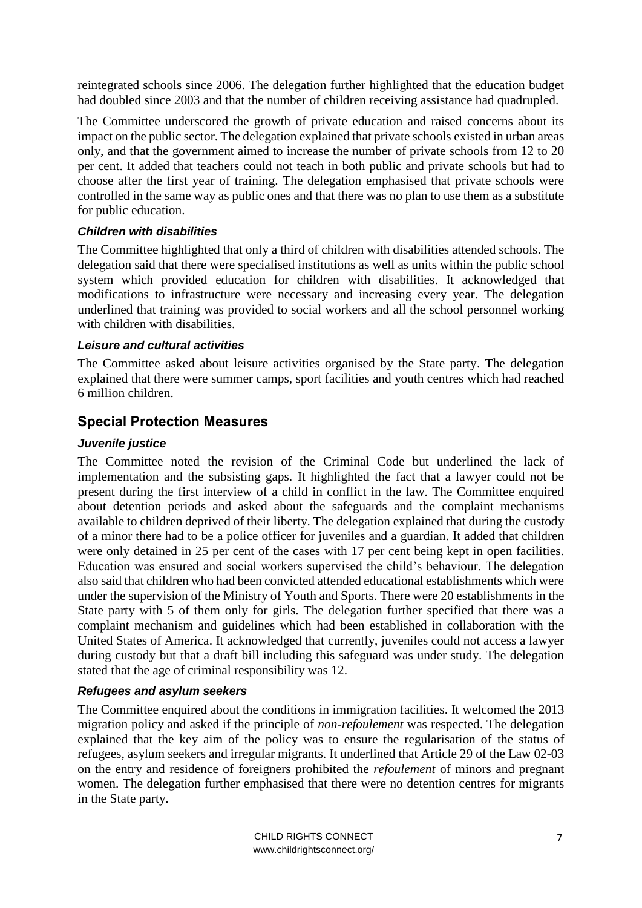reintegrated schools since 2006. The delegation further highlighted that the education budget had doubled since 2003 and that the number of children receiving assistance had quadrupled.

The Committee underscored the growth of private education and raised concerns about its impact on the public sector. The delegation explained that private schools existed in urban areas only, and that the government aimed to increase the number of private schools from 12 to 20 per cent. It added that teachers could not teach in both public and private schools but had to choose after the first year of training. The delegation emphasised that private schools were controlled in the same way as public ones and that there was no plan to use them as a substitute for public education.

#### *Children with disabilities*

The Committee highlighted that only a third of children with disabilities attended schools. The delegation said that there were specialised institutions as well as units within the public school system which provided education for children with disabilities. It acknowledged that modifications to infrastructure were necessary and increasing every year. The delegation underlined that training was provided to social workers and all the school personnel working with children with disabilities.

#### *Leisure and cultural activities*

The Committee asked about leisure activities organised by the State party. The delegation explained that there were summer camps, sport facilities and youth centres which had reached 6 million children.

#### <span id="page-6-0"></span>**Special Protection Measures**

#### *Juvenile justice*

The Committee noted the revision of the Criminal Code but underlined the lack of implementation and the subsisting gaps. It highlighted the fact that a lawyer could not be present during the first interview of a child in conflict in the law. The Committee enquired about detention periods and asked about the safeguards and the complaint mechanisms available to children deprived of their liberty. The delegation explained that during the custody of a minor there had to be a police officer for juveniles and a guardian. It added that children were only detained in 25 per cent of the cases with 17 per cent being kept in open facilities. Education was ensured and social workers supervised the child's behaviour. The delegation also said that children who had been convicted attended educational establishments which were under the supervision of the Ministry of Youth and Sports. There were 20 establishments in the State party with 5 of them only for girls. The delegation further specified that there was a complaint mechanism and guidelines which had been established in collaboration with the United States of America. It acknowledged that currently, juveniles could not access a lawyer during custody but that a draft bill including this safeguard was under study. The delegation stated that the age of criminal responsibility was 12.

#### *Refugees and asylum seekers*

The Committee enquired about the conditions in immigration facilities. It welcomed the 2013 migration policy and asked if the principle of *non-refoulement* was respected. The delegation explained that the key aim of the policy was to ensure the regularisation of the status of refugees, asylum seekers and irregular migrants. It underlined that Article 29 of the Law 02-03 on the entry and residence of foreigners prohibited the *refoulement* of minors and pregnant women. The delegation further emphasised that there were no detention centres for migrants in the State party.